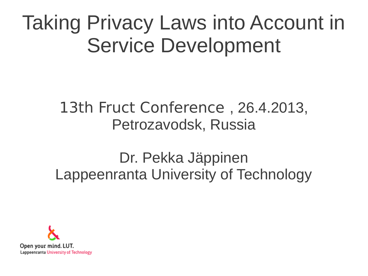### Taking Privacy Laws into Account in Service Development

### 13th Fruct Conference , 26.4.2013, Petrozavodsk, Russia

### Dr. Pekka Jäppinen Lappeenranta University of Technology

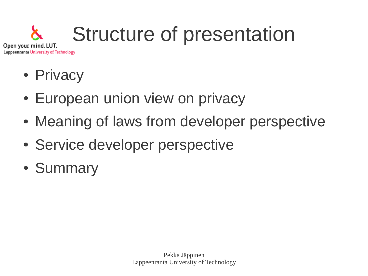#### Structure of presentation Open your mind. LUT.

- Lappeenranta University of Technology
	- Privacy
	- European union view on privacy
	- Meaning of laws from developer perspective
	- Service developer perspective
	- Summary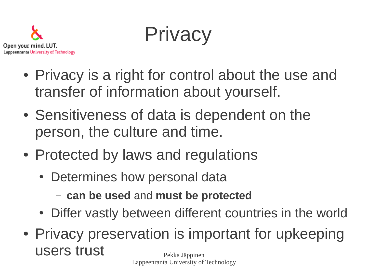

**Privacy** 

- Privacy is a right for control about the use and transfer of information about yourself.
- Sensitiveness of data is dependent on the person, the culture and time.
- Protected by laws and regulations
	- Determines how personal data
		- **can be used** and **must be protected**
	- Differ vastly between different countries in the world
- Pekka Jäppinen • Privacy preservation is important for upkeeping users trust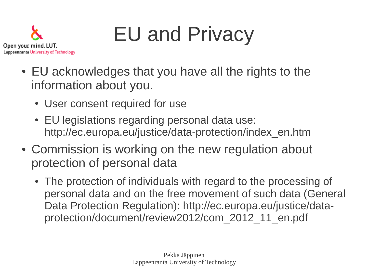

- EU acknowledges that you have all the rights to the information about you.
	- User consent required for use

Open your mind. LUT.

Lappeenranta University of Technology

- EU legislations regarding personal data use: http://ec.europa.eu/justice/data-protection/index\_en.htm
- Commission is working on the new regulation about protection of personal data
	- The protection of individuals with regard to the processing of personal data and on the free movement of such data (General Data Protection Regulation): http://ec.europa.eu/justice/dataprotection/document/review2012/com\_2012\_11\_en.pdf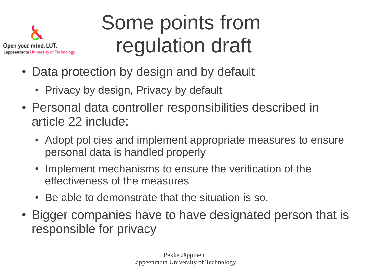

## Some points from regulation draft

- Data protection by design and by default
	- Privacy by design, Privacy by default
- Personal data controller responsibilities described in article 22 include:
	- Adopt policies and implement appropriate measures to ensure personal data is handled properly
	- Implement mechanisms to ensure the verification of the effectiveness of the measures
	- Be able to demonstrate that the situation is so.
- Bigger companies have to have designated person that is responsible for privacy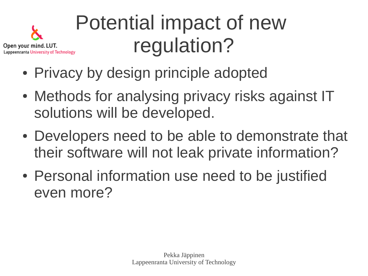

# Potential impact of new regulation?

- Privacy by design principle adopted
- Methods for analysing privacy risks against IT solutions will be developed.
- Developers need to be able to demonstrate that their software will not leak private information?
- Personal information use need to be justified even more?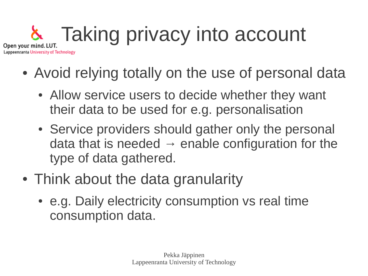#### Taking privacy into account Open your mind. LUT. Lappeenranta University of Technology

- Avoid relying totally on the use of personal data
	- Allow service users to decide whether they want their data to be used for e.g. personalisation
	- Service providers should gather only the personal data that is needed  $\rightarrow$  enable configuration for the type of data gathered.
- Think about the data granularity
	- e.g. Daily electricity consumption vs real time consumption data.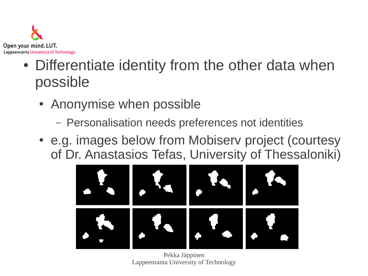

- Differentiate identity from the other data when possible
	- Anonymise when possible
		- Personalisation needs preferences not identities
	- e.g. images below from Mobisery project (courtesy of Dr. Anastasios Tefas, University of Thessaloniki)



Pekka Jäppinen Lappeenranta University of Technology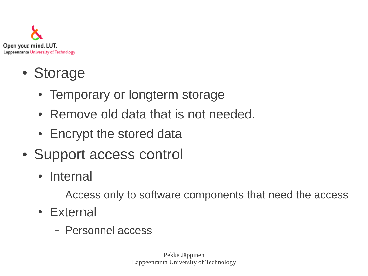

- Storage
	- Temporary or longterm storage
	- Remove old data that is not needed.
	- Encrypt the stored data
- Support access control
	- Internal
		- Access only to software components that need the access
	- External
		- Personnel access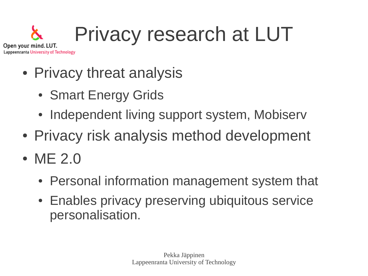#### Privacy research at LUT Open your mind. LUT. Lappeenranta University of Technology

- Privacy threat analysis
	- Smart Energy Grids
	- Independent living support system, Mobiserv
- Privacy risk analysis method development
- ME 2.0
	- Personal information management system that
	- Enables privacy preserving ubiquitous service personalisation.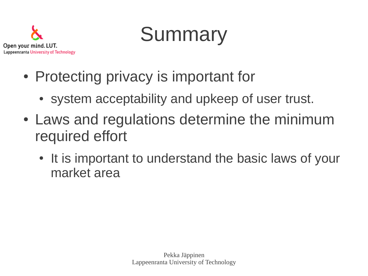

## **Summary**

- Protecting privacy is important for
	- system acceptability and upkeep of user trust.
- Laws and regulations determine the minimum required effort
	- It is important to understand the basic laws of your market area